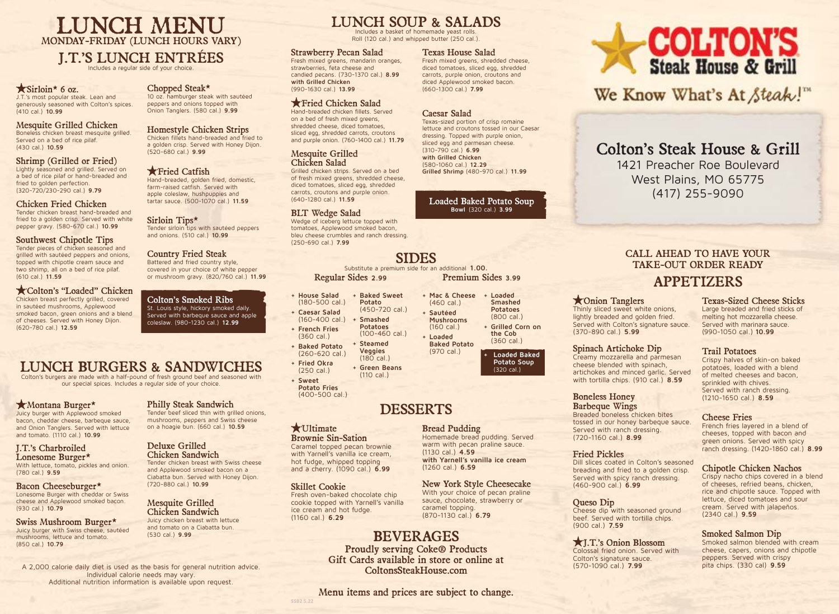# LUNCH MENU MONDAY-FRIDAY (LUNCH HOURS VARY)

### J.T.'S LUNCH ENTRÉES

Includes a regular side of your choice.

#### $\star$  Sirloin\* 6 oz.

J.T.'s most popular steak. Lean and generously seasoned with Colton's spices. (410 cal.) **10.99**

#### Mesquite Grilled Chicken

Boneless chicken breast mesquite grilled. Served on a bed of rice pilaf. (430 cal.) **10.59**

#### Shrimp (Grilled or Fried) Lightly seasoned and grilled. Served on

a bed of rice pilaf or hand-breaded and fried to golden perfection. (320-720/230-290 cal.) **9.79**

#### Chicken Fried Chicken

Tender chicken breast hand-breaded and fried to a golden crisp. Served with white pepper gravy. (580-670 cal.) **10.99**

#### Southwest Chipotle Tips

Tender pieces of chicken seasoned and grilled with sautéed peppers and onions, topped with chipotle cream sauce and two shrimp, all on a bed of rice pilaf. (610 cal.) **11.59**

#### Colton's "Loaded" Chicken

Chicken breast perfectly grilled, covered in sautéed mushrooms, Applewood smoked bacon, green onions and a blend of cheeses. Served with Honey Dijon. (620-780 cal.) **12.59**

#### Chopped Steak\*

10 oz. hamburger steak with sautéed peppers and onions topped with Onion Tanglers. (580 cal.) **9.99**

Homestyle Chicken Strips Chicken fillets hand-breaded and fried to a golden crisp. Served with Honey Dijon. (520-680 cal.) **9.99**

#### **\*Fried Catfish** Hand-breaded, golden fried, domestic, farm-raised catfish. Served with apple coleslaw, hushpuppies and tartar sauce. (500-1070 cal.) **11.59**

Sirloin Tips\* Tender sirloin tips with sautéed peppers and onions. (510 cal.) **10.99**

#### Country Fried Steak Battered and fried country style,

covered in your choice of white pepper or mushroom gravy. (820/760 cal.) **11.99**

Colton's Smoked Ribs St. Louis style, hickory smoked daily. Served with barbeque sauce and apple coleslaw. (980-1230 cal.) **12.99**

# LUNCH BURGERS & SANDWICHES

Colton's burgers are made with a half-pound of fresh ground beef and seasoned with our special spices. Includes a regular side of your choice.

#### Montana Burger\*

Juicy burger with Applewood smoked bacon, cheddar cheese, barbeque sauce, and Onion Tanglers. Served with lettuce and tomato. (1110 cal.) **10.99**

#### J.T.'s Charbroiled Lonesome Burger\* With lettuce, tomato, pickles and onion. (780 cal.) **9.59**

Bacon Cheeseburger\* Lonesome Burger with cheddar or Swiss cheese and Applewood smoked bacon. (930 cal.) **10.79**

Swiss Mushroom Burger\* Juicy burger with Swiss cheese, sautéed mushrooms, lettuce and tomato. (850 cal.) **10.79**

# Philly Steak Sandwich

Tender beef sliced thin with grilled onions, mushrooms, peppers and Swiss cheese on a hoagie bun. (660 cal.) **10.59**

#### Deluxe Grilled Chicken Sandwich

Tender chicken breast with Swiss cheese and Applewood smoked bacon on a Ciabatta bun. Served with Honey Dijon. (720-880 cal.) **10.99**

#### Mesquite Grilled Chicken Sandwich

Juicy chicken breast with lettuce and tomato on a Ciabatta bun. (530 cal.) **9.99**

A 2,000 calorie daily diet is used as the basis for general nutrition advice. Individual calorie needs may vary. Additional nutrition information is available upon request.

# LUNCH SOUP & SALADS

Includes a basket of homemade yeast rolls. Roll (120 cal.) and whipped butter (250 cal.)

> Fresh mixed greens, shredded cheese, diced tomatoes, sliced egg, shredded carrots, purple onion, croutons and diced Applewood smoked bacon. (660-1300 cal.) **7.99**

Texas-sized portion of crisp romaine lettuce and croutons tossed in our Caesar dressing. Topped with purple onion, sliced egg and parmesan cheese.

**Grilled Shrimp** (480-970 cal.) **11.99**

Loaded Baked Potato Soup **Bowl** (320 cal.) **3.99**

Caesar Salad

(310-790 cal.) **6.99 with Grilled Chicken**  (580-1060 cal.) **12.29**

#### Strawberry Pecan Salad Texas House Salad

Fresh mixed greens, mandarin oranges, strawberries, feta cheese and candied pecans. (730-1370 cal.) **8.99 with Grilled Chicken** (990-1630 cal.) **13.99**

#### Fried Chicken Salad

Hand-breaded chicken fillets. Served on a bed of fresh mixed greens, shredded cheese, diced tomatoes, sliced egg, shredded carrots, croutons and purple onion. (760-1400 cal.) **11.79**

#### Mesquite Grilled Chicken Salad

Grilled chicken strips. Served on a bed of fresh mixed greens, shredded cheese, diced tomatoes, sliced egg, shredded carrots, croutons and purple onion. (640-1280 cal.) **11.59**

#### BLT Wedge Salad

Wedge of iceberg lettuce topped with tomatoes, Applewood smoked bacon, bleu cheese crumbles and ranch dressing. (250-690 cal.) **7.99**

# SIDES

Substitute a premium side for an additional **1.00.** Regular Sides **2.99** Premium Sides **3.99**

- **+ House Salad**  (180-500 cal.) **+ Baked Sweet Potato**  (450-720 cal.)
- **+ Caesar Salad**  (160-400 cal.) **+ Smashed Potatoes**
- **+ French Fries**  (360 cal.) (100-460 cal.) **+ Steamed**
- **+ Baked Potato**  (260-620 cal.) **+ Fried Okra Veggies**  (180 cal.)

(250 cal.) **+ Sweet Potato Fries + Green Beans**  (110 cal.)

(400-500 cal.)

# DESSERTS

#### **\***Ultimate

Brownie Sin-Sation Caramel topped pecan brownie

with Yarnell's vanilla ice cream, hot fudge, whipped topping and a cherry. (1090 cal.) **6.99**

#### Skillet Cookie

**SSB2 5.22**

Fresh oven-baked chocolate chip cookie topped with Yarnell's vanilla ice cream and hot fudge. (1160 cal.) **6.29**

# BEVERAGES

Proudly serving Coke® Products Gift Cards available in store or online at ColtonsSteakHouse.com

Menu items and prices are subject to change.

# **COLTON'S**<br>Steak House & Grill

We Know What's At Steak!"

# Colton's Steak House & Grill

1421 Preacher Roe Boulevard West Plains, MO 65775 (417) 255-9090

# CALL AHEAD TO HAVE YOUR TAKE-OUT ORDER READY

# APPETIZERS

#### Onion Tanglers

Thinly sliced sweet white onions, lightly breaded and golden fried. Served with Colton's signature sauce. (370-890 cal.) **5.99**

#### Spinach Artichoke Dip

Creamy mozzarella and parmesan cheese blended with spinach, artichokes and minced garlic. Served with tortilla chips. (910 cal.) **8.59**

#### Boneless Honey Barbeque Wings

Breaded boneless chicken bites tossed in our honey barbeque sauce. Served with ranch dressing. (720-1160 cal.) **8.99**

#### Fried Pickles

Dill slices coated in Colton's seasoned breading and fried to a golden crisp. Served with spicy ranch dressing. (460-900 cal.) **6.99**

#### Queso Dip

Cheese dip with seasoned ground beef. Served with tortilla chips. (900 cal.) **7.59**

J.T.'s Onion Blossom Colossal fried onion. Served with Colton's signature sauce. (570-1090 cal.) **7.99**

#### Texas-Sized Cheese Sticks Large breaded and fried sticks of melting hot mozzarella cheese. Served with marinara sauce. (990-1050 cal.) **10.99**

#### Trail Potatoes

Crispy halves of skin-on baked potatoes, loaded with a blend of melted cheeses and bacon, sprinkled with chives. Served with ranch dressing. (1210-1650 cal.) **8.59**

#### Cheese Fries

French fries layered in a blend of cheeses, topped with bacon and green onions. Served with spicy ranch dressing. (1420-1860 cal.) **8.99**

#### Chipotle Chicken Nachos

Crispy nacho chips covered in a blend of cheeses, refried beans, chicken, rice and chipotle sauce. Topped with lettuce, diced tomatoes and sour cream. Served with jalapeños. (2340 cal.) **9.59**

#### Smoked Salmon Dip

Smoked salmon blended with cream cheese, capers, onions and chipotle peppers. Served with crispy pita chips. (330 cal) **9.59**

# (320 cal.)

**+ Mac & Cheese + Loaded** 

(460 cal.) **+ Sautéed Mushrooms** (160 cal.) **+ Loaded Baked Potato** (970 cal.)

# Bread Pudding

Homemade bread pudding. Served warm with pecan praline sauce (1130 cal.) **4.59 with Yarnell's vanilla ice cream** (1260 cal.) **6.59**

#### New York Style Cheesecake With your choice of pecan praline

sauce, chocolate, strawberry or caramel topping. (870-1130 cal.) **6.79**

**Smashed Potatoes** (800 cal.) **+ Grilled Corn on the Cob**  (360 cal.) **+ Loaded Baked Potato Soup**